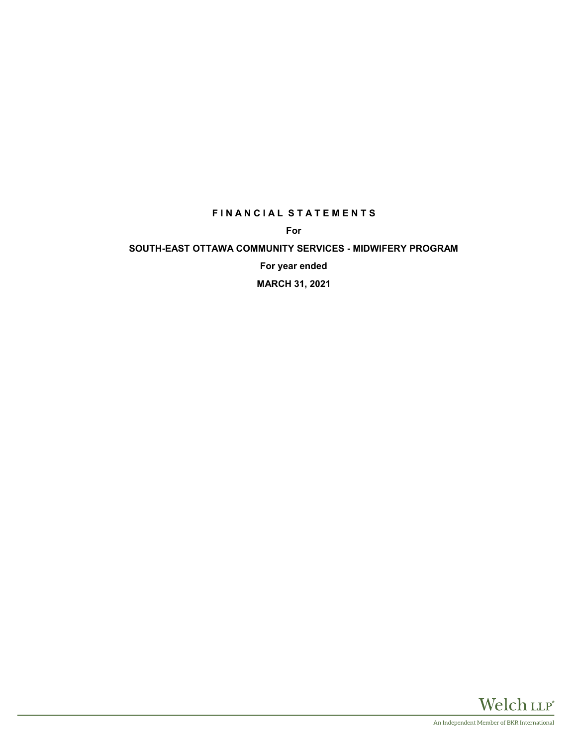# **FINANCIAL STATEMENTS**

**For**

# **SOUTH-EAST OTTAWA COMMUNITY SERVICES - MIDWIFERY PROGRAM**

**For year ended**

**MARCH 31, 2021**

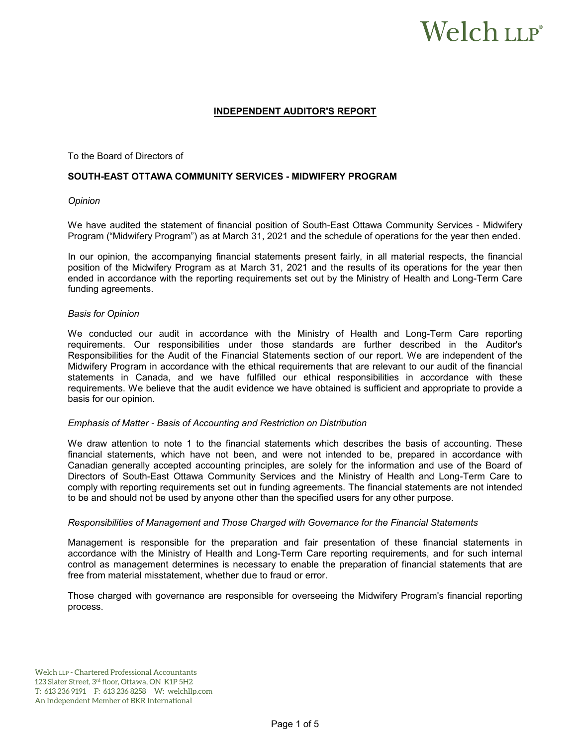# Welch LLP®

# **INDEPENDENT AUDITOR'S REPORT**

To the Board of Directors of

# **SOUTH-EAST OTTAWA COMMUNITY SERVICES - MIDWIFERY PROGRAM**

#### *Opinion*

We have audited the statement of financial position of South-East Ottawa Community Services - Midwifery Program ("Midwifery Program") as at March 31, 2021 and the schedule of operations for the year then ended.

In our opinion, the accompanying financial statements present fairly, in all material respects, the financial position of the Midwifery Program as at March 31, 2021 and the results of its operations for the year then ended in accordance with the reporting requirements set out by the Ministry of Health and Long-Term Care funding agreements.

#### *Basis for Opinion*

We conducted our audit in accordance with the Ministry of Health and Long-Term Care reporting requirements. Our responsibilities under those standards are further described in the Auditor's Responsibilities for the Audit of the Financial Statements section of our report. We are independent of the Midwifery Program in accordance with the ethical requirements that are relevant to our audit of the financial statements in Canada, and we have fulfilled our ethical responsibilities in accordance with these requirements. We believe that the audit evidence we have obtained is sufficient and appropriate to provide a basis for our opinion.

#### *Emphasis of Matter - Basis of Accounting and Restriction on Distribution*

We draw attention to note 1 to the financial statements which describes the basis of accounting. These financial statements, which have not been, and were not intended to be, prepared in accordance with Canadian generally accepted accounting principles, are solely for the information and use of the Board of Directors of South-East Ottawa Community Services and the Ministry of Health and Long-Term Care to comply with reporting requirements set out in funding agreements. The financial statements are not intended to be and should not be used by anyone other than the specified users for any other purpose.

### *Responsibilities of Management and Those Charged with Governance for the Financial Statements*

Management is responsible for the preparation and fair presentation of these financial statements in accordance with the Ministry of Health and Long-Term Care reporting requirements, and for such internal control as management determines is necessary to enable the preparation of financial statements that are free from material misstatement, whether due to fraud or error.

Those charged with governance are responsible for overseeing the Midwifery Program's financial reporting process.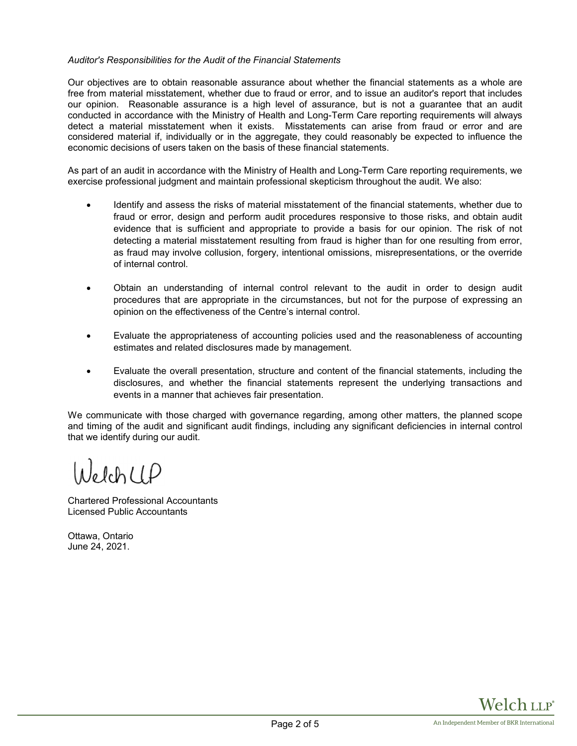# *Auditor's Responsibilities for the Audit of the Financial Statements*

Our objectives are to obtain reasonable assurance about whether the financial statements as a whole are free from material misstatement, whether due to fraud or error, and to issue an auditor's report that includes our opinion. Reasonable assurance is a high level of assurance, but is not a guarantee that an audit conducted in accordance with the Ministry of Health and Long-Term Care reporting requirements will always detect a material misstatement when it exists. Misstatements can arise from fraud or error and are considered material if, individually or in the aggregate, they could reasonably be expected to influence the economic decisions of users taken on the basis of these financial statements.

As part of an audit in accordance with the Ministry of Health and Long-Term Care reporting requirements, we exercise professional judgment and maintain professional skepticism throughout the audit. We also:

- Identify and assess the risks of material misstatement of the financial statements, whether due to fraud or error, design and perform audit procedures responsive to those risks, and obtain audit evidence that is sufficient and appropriate to provide a basis for our opinion. The risk of not detecting a material misstatement resulting from fraud is higher than for one resulting from error, as fraud may involve collusion, forgery, intentional omissions, misrepresentations, or the override of internal control.
- Obtain an understanding of internal control relevant to the audit in order to design audit procedures that are appropriate in the circumstances, but not for the purpose of expressing an opinion on the effectiveness of the Centre's internal control.
- Evaluate the appropriateness of accounting policies used and the reasonableness of accounting estimates and related disclosures made by management.
- Evaluate the overall presentation, structure and content of the financial statements, including the disclosures, and whether the financial statements represent the underlying transactions and events in a manner that achieves fair presentation.

We communicate with those charged with governance regarding, among other matters, the planned scope and timing of the audit and significant audit findings, including any significant deficiencies in internal control that we identify during our audit.

 $NelchUP$ 

Chartered Professional Accountants Licensed Public Accountants

Ottawa, Ontario June 24, 2021.

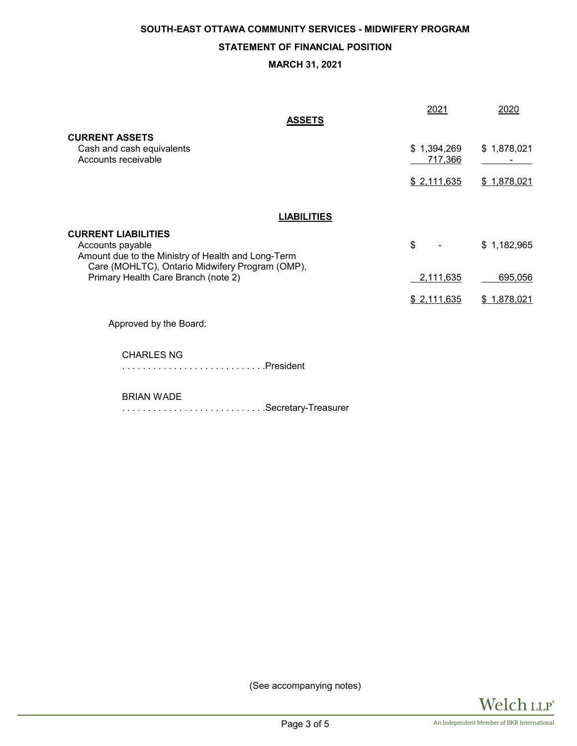# **SOUTH-EAST OTTAWA COMMUNITY SERVICES - MIDWIFERY PROGRAM**

# **STATEMENT OF FINANCIAL POSITION**

**MARCH 31, 2021**

| <b>ASSETS</b>                                                                                                                                                                                  | 2021                                  | 2020                       |
|------------------------------------------------------------------------------------------------------------------------------------------------------------------------------------------------|---------------------------------------|----------------------------|
| <b>CURRENT ASSETS</b><br>Cash and cash equivalents<br>Accounts receivable                                                                                                                      | \$1,394,269<br>717,366<br>\$2,111,635 | \$1,878,021<br>\$1,878,021 |
| <b>LIABILITIES</b>                                                                                                                                                                             |                                       |                            |
| <b>CURRENT LIABILITIES</b><br>Accounts payable<br>Amount due to the Ministry of Health and Long-Term<br>Care (MOHLTC), Ontario Midwifery Program (OMP),<br>Primary Health Care Branch (note 2) | \$                                    | \$1,182,965                |
|                                                                                                                                                                                                | 2,111,635                             | 695,056                    |
|                                                                                                                                                                                                | \$2,111,635                           | \$1,878,021                |
| Approved by the Board:                                                                                                                                                                         |                                       |                            |
| <b>CHARLES NG</b>                                                                                                                                                                              |                                       |                            |
| <b>BRIAN WADE</b>                                                                                                                                                                              |                                       |                            |

(See accompanying notes)

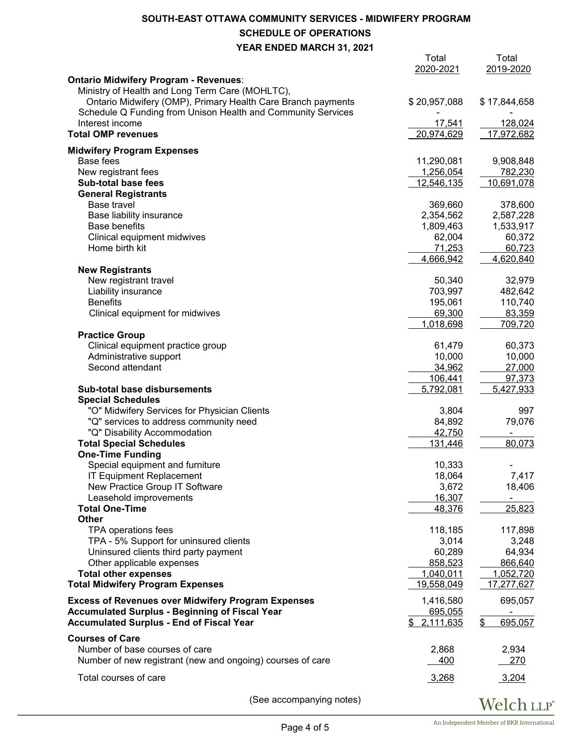# **SOUTH-EAST OTTAWA COMMUNITY SERVICES - MIDWIFERY PROGRAM SCHEDULE OF OPERATIONS YEAR ENDED MARCH 31, 2021**

|                                                              | Total<br>2020-2021 | Total<br>2019-2020                         |
|--------------------------------------------------------------|--------------------|--------------------------------------------|
| <b>Ontario Midwifery Program - Revenues:</b>                 |                    |                                            |
| Ministry of Health and Long Term Care (MOHLTC),              |                    |                                            |
| Ontario Midwifery (OMP), Primary Health Care Branch payments | \$20,957,088       | \$17,844,658                               |
| Schedule Q Funding from Unison Health and Community Services |                    |                                            |
| Interest income                                              | 17,541             | 128,024                                    |
| <b>Total OMP revenues</b>                                    | 20,974,629         | 17,972,682                                 |
| <b>Midwifery Program Expenses</b>                            |                    |                                            |
| Base fees                                                    | 11,290,081         | 9,908,848                                  |
| New registrant fees                                          | 1,256,054          | 782,230                                    |
| Sub-total base fees                                          | 12,546,135         | 10,691,078                                 |
| <b>General Registrants</b><br>Base travel                    | 369,660            | 378,600                                    |
| Base liability insurance                                     | 2,354,562          | 2,587,228                                  |
| <b>Base benefits</b>                                         | 1,809,463          | 1,533,917                                  |
| Clinical equipment midwives                                  | 62,004             | 60,372                                     |
| Home birth kit                                               | 71,253             | 60,723                                     |
|                                                              | 4,666,942          | 4,620,840                                  |
| <b>New Registrants</b>                                       |                    |                                            |
| New registrant travel                                        | 50,340             | 32,979                                     |
| Liability insurance                                          | 703,997            | 482,642                                    |
| <b>Benefits</b>                                              | 195,061            | 110,740                                    |
| Clinical equipment for midwives                              | 69,300             | 83,359                                     |
| <b>Practice Group</b>                                        | 1,018,698          | 709,720                                    |
| Clinical equipment practice group                            | 61,479             | 60,373                                     |
| Administrative support                                       | 10,000             | 10,000                                     |
| Second attendant                                             | 34,962             | 27,000                                     |
|                                                              | 106,441            | 97,373                                     |
| Sub-total base disbursements                                 | 5,792,081          | 5,427,933                                  |
| <b>Special Schedules</b>                                     |                    |                                            |
| "O" Midwifery Services for Physician Clients                 | 3,804              | 997                                        |
| "Q" services to address community need                       | 84,892             | 79,076                                     |
| "Q" Disability Accommodation                                 | 42,750             |                                            |
| <b>Total Special Schedules</b>                               | 131,446            | 80,073                                     |
| <b>One-Time Funding</b>                                      |                    |                                            |
| Special equipment and furniture<br>IT Equipment Replacement  | 10,333<br>18,064   | 7,417                                      |
| New Practice Group IT Software                               | 3,672              | 18,406                                     |
| Leasehold improvements                                       | 16,307             | $\blacksquare$                             |
| <b>Total One-Time</b>                                        | 48,376             | 25,823                                     |
| <b>Other</b>                                                 |                    |                                            |
| TPA operations fees                                          | 118,185            | 117,898                                    |
| TPA - 5% Support for uninsured clients                       | 3,014              | 3,248                                      |
| Uninsured clients third party payment                        | 60,289             | 64,934                                     |
| Other applicable expenses                                    | 858,523            | 866,640                                    |
| <b>Total other expenses</b>                                  | 1,040,011          | 1,052,720                                  |
| <b>Total Midwifery Program Expenses</b>                      | 19,558,049         | 17,277,627                                 |
| <b>Excess of Revenues over Midwifery Program Expenses</b>    | 1,416,580          | 695,057                                    |
| <b>Accumulated Surplus - Beginning of Fiscal Year</b>        | 695,055            |                                            |
| <b>Accumulated Surplus - End of Fiscal Year</b>              | \$2,111,635        | \$<br>695,057                              |
| <b>Courses of Care</b>                                       |                    |                                            |
| Number of base courses of care                               | 2,868              | 2,934                                      |
| Number of new registrant (new and ongoing) courses of care   | 400                | <u> 270</u>                                |
| Total courses of care                                        | 3,268              | 3,204                                      |
|                                                              |                    |                                            |
| (See accompanying notes)                                     |                    | $W_{\mathbf{a}}$ $\mathbf{b}$ $\mathbf{r}$ |

# Welch LLP<sup>®</sup>